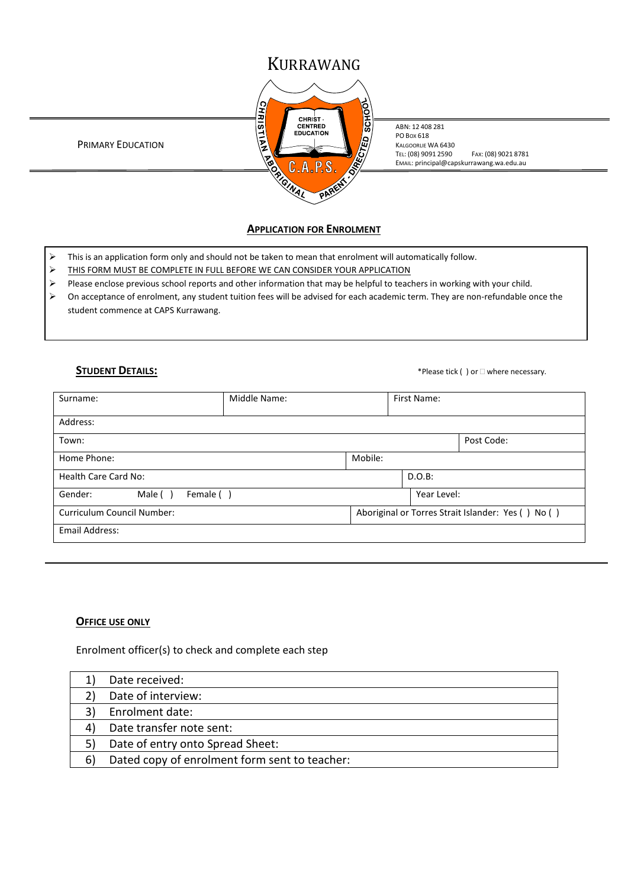# KURRAWANG



ABN: 12 408 281 PO BOX 618 KALGOORLIE WA 6430 TEL: (08) 9091 2590 FAX: (08) 9021 8781 EMAIL: principal@capskurrawang.wa.edu.au

PRIMARY EDUCATION

# **APPLICATION FOR ENROLMENT**

- $\triangleright$  This is an application form only and should not be taken to mean that enrolment will automatically follow.
- > THIS FORM MUST BE COMPLETE IN FULL BEFORE WE CAN CONSIDER YOUR APPLICATION
- Please enclose previous school reports and other information that may be helpful to teachers in working with your child.
- On acceptance of enrolment, any student tuition fees will be advised for each academic term. They are non-refundable once the student commence at CAPS Kurrawang.

**STUDENT DETAILS:** \*Please tick ( ) or  $\Box$  where necessary.

| Surname:                          | Middle Name: |           | First Name: |                                                    |
|-----------------------------------|--------------|-----------|-------------|----------------------------------------------------|
|                                   |              |           |             |                                                    |
| Address:                          |              |           |             |                                                    |
| Town:                             |              |           |             | Post Code:                                         |
| Mobile:<br>Home Phone:            |              |           |             |                                                    |
| <b>Health Care Card No:</b>       |              | $D.O.B$ : |             |                                                    |
| Gender:<br>Female ()<br>Male (    |              |           | Year Level: |                                                    |
| <b>Curriculum Council Number:</b> |              |           |             | Aboriginal or Torres Strait Islander: Yes () No () |
| Email Address:                    |              |           |             |                                                    |

### **OFFICE USE ONLY**

Enrolment officer(s) to check and complete each step

|    | Date received:                                |
|----|-----------------------------------------------|
|    | Date of interview:                            |
|    | Enrolment date:                               |
|    | Date transfer note sent:                      |
|    | Date of entry onto Spread Sheet:              |
| 6' | Dated copy of enrolment form sent to teacher: |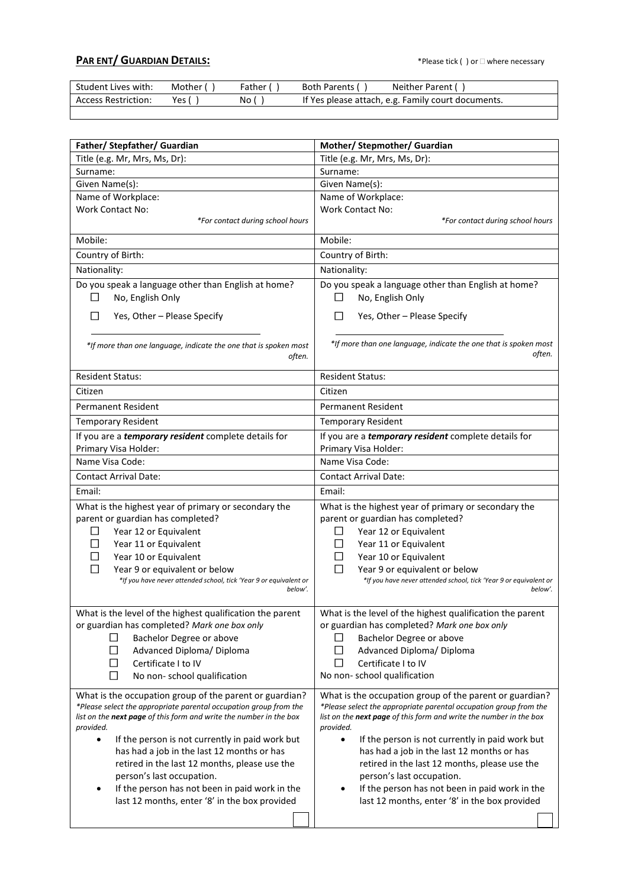# **PAR ENT/ GUARDIAN DETAILS:** ★Please tick ( ) or □ where necessary

| Student Lives with: | Mother ( | Father ( | Neither Parent (<br>Both Parents (                 |
|---------------------|----------|----------|----------------------------------------------------|
| Access Restriction: | Yes i    | No (     | If Yes please attach, e.g. Family court documents. |
|                     |          |          |                                                    |

| Father/ Stepfather/ Guardian                                                 | Mother/ Stepmother/ Guardian                                                    |
|------------------------------------------------------------------------------|---------------------------------------------------------------------------------|
| Title (e.g. Mr, Mrs, Ms, Dr):                                                | Title (e.g. Mr, Mrs, Ms, Dr):                                                   |
| Surname:                                                                     | Surname:                                                                        |
| Given Name(s):                                                               | Given Name(s):                                                                  |
| Name of Workplace:                                                           | Name of Workplace:                                                              |
| <b>Work Contact No:</b>                                                      | <b>Work Contact No:</b>                                                         |
| *For contact during school hours                                             | *For contact during school hours                                                |
| Mobile:                                                                      | Mobile:                                                                         |
| Country of Birth:                                                            | Country of Birth:                                                               |
| Nationality:                                                                 | Nationality:                                                                    |
| Do you speak a language other than English at home?                          | Do you speak a language other than English at home?                             |
| No, English Only<br>l 1                                                      | No, English Only<br>ΙI                                                          |
|                                                                              |                                                                                 |
| Yes, Other - Please Specify                                                  | Yes, Other - Please Specify                                                     |
| *If more than one language, indicate the one that is spoken most<br>often.   | *If more than one language, indicate the one that is spoken most<br>often.      |
| <b>Resident Status:</b>                                                      | <b>Resident Status:</b>                                                         |
| Citizen                                                                      | Citizen                                                                         |
| Permanent Resident                                                           | <b>Permanent Resident</b>                                                       |
| <b>Temporary Resident</b>                                                    | <b>Temporary Resident</b>                                                       |
| If you are a <i>temporary resident</i> complete details for                  | If you are a <i>temporary resident</i> complete details for                     |
| Primary Visa Holder:                                                         | Primary Visa Holder:                                                            |
| Name Visa Code:                                                              | Name Visa Code:                                                                 |
| <b>Contact Arrival Date:</b>                                                 | <b>Contact Arrival Date:</b>                                                    |
| Email:                                                                       | Email:                                                                          |
| What is the highest year of primary or secondary the                         | What is the highest year of primary or secondary the                            |
| parent or guardian has completed?                                            | parent or guardian has completed?                                               |
| Year 12 or Equivalent<br>$\perp$                                             | Year 12 or Equivalent<br>ப                                                      |
| Year 11 or Equivalent                                                        | Year 11 or Equivalent<br>ப                                                      |
| Year 10 or Equivalent                                                        | Year 10 or Equivalent                                                           |
| Year 9 or equivalent or below                                                | Year 9 or equivalent or below                                                   |
| *If you have never attended school, tick 'Year 9 or equivalent or<br>below'. | *If you have never attended school, tick 'Year 9 or equivalent or<br>below'.    |
|                                                                              |                                                                                 |
| What is the level of the highest qualification the parent                    | What is the level of the highest qualification the parent                       |
| or guardian has completed? Mark one box only                                 | or guardian has completed? Mark one box only                                    |
| □<br>Bachelor Degree or above                                                | Bachelor Degree or above<br>ப                                                   |
| □<br>Advanced Diploma/ Diploma                                               | Advanced Diploma/ Diploma<br>$\Box$                                             |
| Certificate I to IV<br>□                                                     | $\Box$<br>Certificate I to IV                                                   |
| □<br>No non-school qualification                                             | No non-school qualification                                                     |
| What is the occupation group of the parent or guardian?                      | What is the occupation group of the parent or guardian?                         |
| *Please select the appropriate parental occupation group from the            | *Please select the appropriate parental occupation group from the               |
| list on the next page of this form and write the number in the box           | list on the next page of this form and write the number in the box<br>provided. |
| provided.<br>$\bullet$<br>If the person is not currently in paid work but    | $\bullet$<br>If the person is not currently in paid work but                    |
| has had a job in the last 12 months or has                                   | has had a job in the last 12 months or has                                      |
| retired in the last 12 months, please use the                                | retired in the last 12 months, please use the                                   |
| person's last occupation.                                                    | person's last occupation.                                                       |
| If the person has not been in paid work in the<br>٠                          | If the person has not been in paid work in the                                  |
| last 12 months, enter '8' in the box provided                                | last 12 months, enter '8' in the box provided                                   |
|                                                                              |                                                                                 |
|                                                                              |                                                                                 |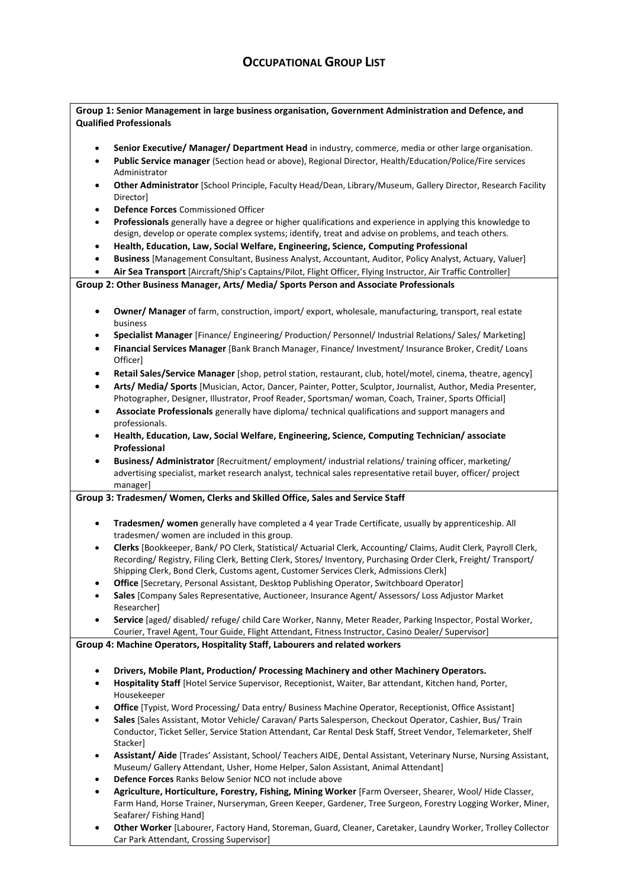# **OCCUPATIONAL GROUP LIST**

|                        | Group 1: Senior Management in large business organisation, Government Administration and Defence, and                                                                                                                     |  |  |  |
|------------------------|---------------------------------------------------------------------------------------------------------------------------------------------------------------------------------------------------------------------------|--|--|--|
|                        | <b>Qualified Professionals</b>                                                                                                                                                                                            |  |  |  |
|                        |                                                                                                                                                                                                                           |  |  |  |
| $\bullet$<br>$\bullet$ | Senior Executive/ Manager/ Department Head in industry, commerce, media or other large organisation.<br>Public Service manager (Section head or above), Regional Director, Health/Education/Police/Fire services          |  |  |  |
|                        | Administrator                                                                                                                                                                                                             |  |  |  |
| $\bullet$              | Other Administrator [School Principle, Faculty Head/Dean, Library/Museum, Gallery Director, Research Facility                                                                                                             |  |  |  |
|                        | Director]                                                                                                                                                                                                                 |  |  |  |
| $\bullet$              | Defence Forces Commissioned Officer                                                                                                                                                                                       |  |  |  |
| $\bullet$              | Professionals generally have a degree or higher qualifications and experience in applying this knowledge to                                                                                                               |  |  |  |
|                        | design, develop or operate complex systems; identify, treat and advise on problems, and teach others.                                                                                                                     |  |  |  |
| $\bullet$              | Health, Education, Law, Social Welfare, Engineering, Science, Computing Professional                                                                                                                                      |  |  |  |
| $\bullet$<br>$\bullet$ | Business [Management Consultant, Business Analyst, Accountant, Auditor, Policy Analyst, Actuary, Valuer]<br>Air Sea Transport [Aircraft/Ship's Captains/Pilot, Flight Officer, Flying Instructor, Air Traffic Controller] |  |  |  |
|                        | Group 2: Other Business Manager, Arts/ Media/ Sports Person and Associate Professionals                                                                                                                                   |  |  |  |
|                        |                                                                                                                                                                                                                           |  |  |  |
| $\bullet$              | Owner/ Manager of farm, construction, import/ export, wholesale, manufacturing, transport, real estate                                                                                                                    |  |  |  |
|                        | business                                                                                                                                                                                                                  |  |  |  |
| $\bullet$              | Specialist Manager [Finance/ Engineering/ Production/ Personnel/ Industrial Relations/ Sales/ Marketing]                                                                                                                  |  |  |  |
| $\bullet$              | Financial Services Manager [Bank Branch Manager, Finance/ Investment/ Insurance Broker, Credit/ Loans                                                                                                                     |  |  |  |
|                        | Officer]                                                                                                                                                                                                                  |  |  |  |
| $\bullet$              | Retail Sales/Service Manager [shop, petrol station, restaurant, club, hotel/motel, cinema, theatre, agency]                                                                                                               |  |  |  |
| $\bullet$              | Arts/ Media/ Sports [Musician, Actor, Dancer, Painter, Potter, Sculptor, Journalist, Author, Media Presenter,                                                                                                             |  |  |  |
|                        | Photographer, Designer, Illustrator, Proof Reader, Sportsman/ woman, Coach, Trainer, Sports Official]                                                                                                                     |  |  |  |
| $\bullet$              | Associate Professionals generally have diploma/ technical qualifications and support managers and<br>professionals.                                                                                                       |  |  |  |
| $\bullet$              | Health, Education, Law, Social Welfare, Engineering, Science, Computing Technician/ associate                                                                                                                             |  |  |  |
|                        | Professional                                                                                                                                                                                                              |  |  |  |
| $\bullet$              | Business/ Administrator [Recruitment/ employment/ industrial relations/ training officer, marketing/                                                                                                                      |  |  |  |
|                        | advertising specialist, market research analyst, technical sales representative retail buyer, officer/ project                                                                                                            |  |  |  |
|                        | manager]                                                                                                                                                                                                                  |  |  |  |
|                        | Group 3: Tradesmen/ Women, Clerks and Skilled Office, Sales and Service Staff                                                                                                                                             |  |  |  |
|                        |                                                                                                                                                                                                                           |  |  |  |
| $\bullet$              | Tradesmen/ women generally have completed a 4 year Trade Certificate, usually by apprenticeship. All<br>tradesmen/ women are included in this group.                                                                      |  |  |  |
| $\bullet$              | Clerks [Bookkeeper, Bank/ PO Clerk, Statistical/ Actuarial Clerk, Accounting/ Claims, Audit Clerk, Payroll Clerk,                                                                                                         |  |  |  |
|                        | Recording/ Registry, Filing Clerk, Betting Clerk, Stores/ Inventory, Purchasing Order Clerk, Freight/ Transport/                                                                                                          |  |  |  |
|                        | Shipping Clerk, Bond Clerk, Customs agent, Customer Services Clerk, Admissions Clerk]                                                                                                                                     |  |  |  |
| ٠                      | <b>Office</b> [Secretary, Personal Assistant, Desktop Publishing Operator, Switchboard Operator]                                                                                                                          |  |  |  |
|                        | Sales [Company Sales Representative, Auctioneer, Insurance Agent/ Assessors/ Loss Adjustor Market                                                                                                                         |  |  |  |
|                        | Researcher]                                                                                                                                                                                                               |  |  |  |
| $\bullet$              | Service [aged/ disabled/ refuge/ child Care Worker, Nanny, Meter Reader, Parking Inspector, Postal Worker,<br>Courier, Travel Agent, Tour Guide, Flight Attendant, Fitness Instructor, Casino Dealer/ Supervisor]         |  |  |  |
|                        | Group 4: Machine Operators, Hospitality Staff, Labourers and related workers                                                                                                                                              |  |  |  |
|                        |                                                                                                                                                                                                                           |  |  |  |
| $\bullet$              | Drivers, Mobile Plant, Production/ Processing Machinery and other Machinery Operators.                                                                                                                                    |  |  |  |
| ٠                      | Hospitality Staff [Hotel Service Supervisor, Receptionist, Waiter, Bar attendant, Kitchen hand, Porter,                                                                                                                   |  |  |  |
|                        | Housekeeper                                                                                                                                                                                                               |  |  |  |
| $\bullet$              | <b>Office</b> [Typist, Word Processing/ Data entry/ Business Machine Operator, Receptionist, Office Assistant]                                                                                                            |  |  |  |
| $\bullet$              | Sales [Sales Assistant, Motor Vehicle/ Caravan/ Parts Salesperson, Checkout Operator, Cashier, Bus/ Train                                                                                                                 |  |  |  |
|                        | Conductor, Ticket Seller, Service Station Attendant, Car Rental Desk Staff, Street Vendor, Telemarketer, Shelf                                                                                                            |  |  |  |
|                        | Stacker]<br>Assistant/ Aide [Trades' Assistant, School/ Teachers AIDE, Dental Assistant, Veterinary Nurse, Nursing Assistant,                                                                                             |  |  |  |
| $\bullet$              | Museum/ Gallery Attendant, Usher, Home Helper, Salon Assistant, Animal Attendant]                                                                                                                                         |  |  |  |
| ٠                      | Defence Forces Ranks Below Senior NCO not include above                                                                                                                                                                   |  |  |  |
| $\bullet$              | Agriculture, Horticulture, Forestry, Fishing, Mining Worker [Farm Overseer, Shearer, Wool/ Hide Classer,                                                                                                                  |  |  |  |
|                        | Farm Hand, Horse Trainer, Nurseryman, Green Keeper, Gardener, Tree Surgeon, Forestry Logging Worker, Miner,                                                                                                               |  |  |  |
|                        | Seafarer/Fishing Hand]                                                                                                                                                                                                    |  |  |  |
| ٠                      | Other Worker [Labourer, Factory Hand, Storeman, Guard, Cleaner, Caretaker, Laundry Worker, Trolley Collector                                                                                                              |  |  |  |
|                        | Car Park Attendant, Crossing Supervisor]                                                                                                                                                                                  |  |  |  |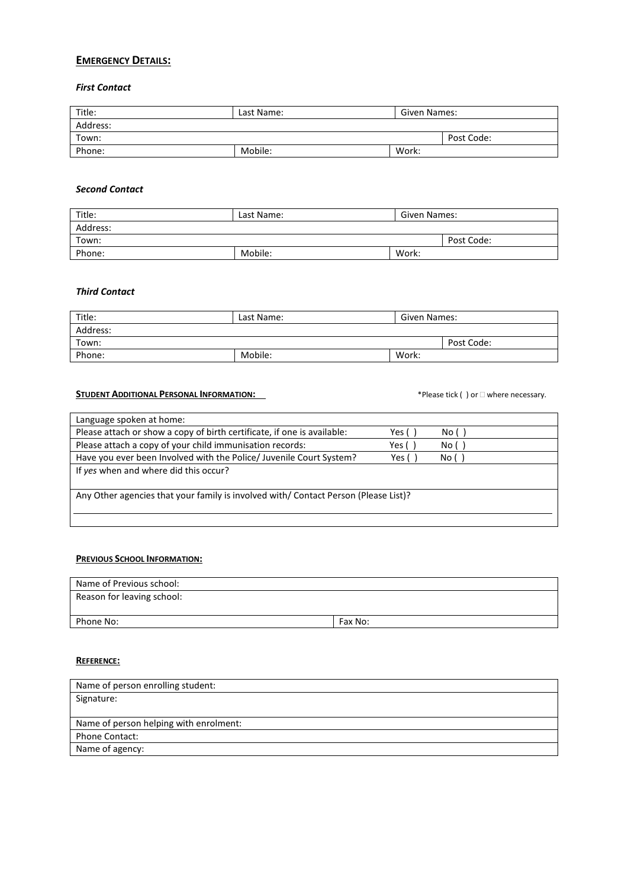# **EMERGENCY DETAILS:**

# *First Contact*

| Title:   | Last Name: | Given Names: |            |
|----------|------------|--------------|------------|
| Address: |            |              |            |
| Town:    |            |              | Post Code: |
| Phone:   | Mobile:    | Work:        |            |

#### *Second Contact*

| Title:   | Last Name: | Given Names: |            |
|----------|------------|--------------|------------|
| Address: |            |              |            |
| Town:    |            |              | Post Code: |
| Phone:   | Mobile:    | Work:        |            |

### *Third Contact*

| Title:   | Last Name: | Given Names: |            |
|----------|------------|--------------|------------|
| Address: |            |              |            |
| Town:    |            |              | Post Code: |
| Phone:   | Mobile:    | Work:        |            |

### **STUDENT ADDITIONAL PERSONAL INFORMATION:**  $\bullet$  **Please tick ( ) or**  $\Box$  where necessary.

| Language spoken at home:                                                            |       |        |  |
|-------------------------------------------------------------------------------------|-------|--------|--|
| Please attach or show a copy of birth certificate, if one is available:             | Yes ( | No()   |  |
| Please attach a copy of your child immunisation records:                            | Yes ( | No ( ) |  |
| Have you ever been Involved with the Police/ Juvenile Court System?                 | Yes ( | No()   |  |
| If yes when and where did this occur?                                               |       |        |  |
|                                                                                     |       |        |  |
| Any Other agencies that your family is involved with/ Contact Person (Please List)? |       |        |  |
|                                                                                     |       |        |  |
|                                                                                     |       |        |  |

### **PREVIOUS SCHOOL INFORMATION:**

| Name of Previous school:   |         |
|----------------------------|---------|
| Reason for leaving school: |         |
|                            |         |
| Phone No:                  | Fax No: |

### **REFERENCE:**

| Name of person enrolling student:      |
|----------------------------------------|
| Signature:                             |
|                                        |
| Name of person helping with enrolment: |
| <b>Phone Contact:</b>                  |
| Name of agency:                        |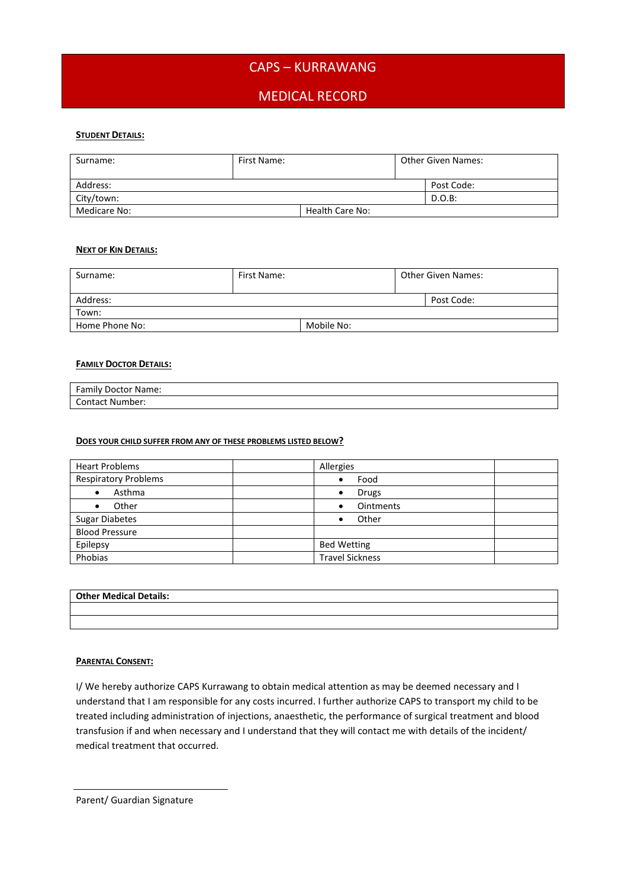# CAPS – KURRAWANG

# MEDICAL RECORD

### **STUDENT DETAILS:**

| Surname:     | First Name: |                 | <b>Other Given Names:</b> |            |
|--------------|-------------|-----------------|---------------------------|------------|
| Address:     |             |                 |                           | Post Code: |
| City/town:   |             |                 |                           | $D.O.B$ :  |
| Medicare No: |             | Health Care No: |                           |            |

#### **NEXT OF KIN DETAILS:**

| Surname:       | First Name: |            | <b>Other Given Names:</b> |            |
|----------------|-------------|------------|---------------------------|------------|
| Address:       |             |            |                           | Post Code: |
| Town:          |             |            |                           |            |
| Home Phone No: |             | Mobile No: |                           |            |

#### **FAMILY DOCTOR DETAILS:**

| <b>Family Doctor Name:</b> |  |
|----------------------------|--|
| <b>Contact Number:</b>     |  |

#### **DOES YOUR CHILD SUFFER FROM ANY OF THESE PROBLEMS LISTED BELOW?**

| <b>Heart Problems</b>       | Allergies              |
|-----------------------------|------------------------|
| <b>Respiratory Problems</b> | Food<br>٠              |
| Asthma                      | <b>Drugs</b><br>٠      |
| Other                       | <b>Ointments</b>       |
| <b>Sugar Diabetes</b>       | Other                  |
| <b>Blood Pressure</b>       |                        |
| Epilepsy                    | <b>Bed Wetting</b>     |
| Phobias                     | <b>Travel Sickness</b> |

## **Other Medical Details:**

### **PARENTAL CONSENT:**

I/ We hereby authorize CAPS Kurrawang to obtain medical attention as may be deemed necessary and I understand that I am responsible for any costs incurred. I further authorize CAPS to transport my child to be treated including administration of injections, anaesthetic, the performance of surgical treatment and blood transfusion if and when necessary and I understand that they will contact me with details of the incident/ medical treatment that occurred.

Parent/ Guardian Signature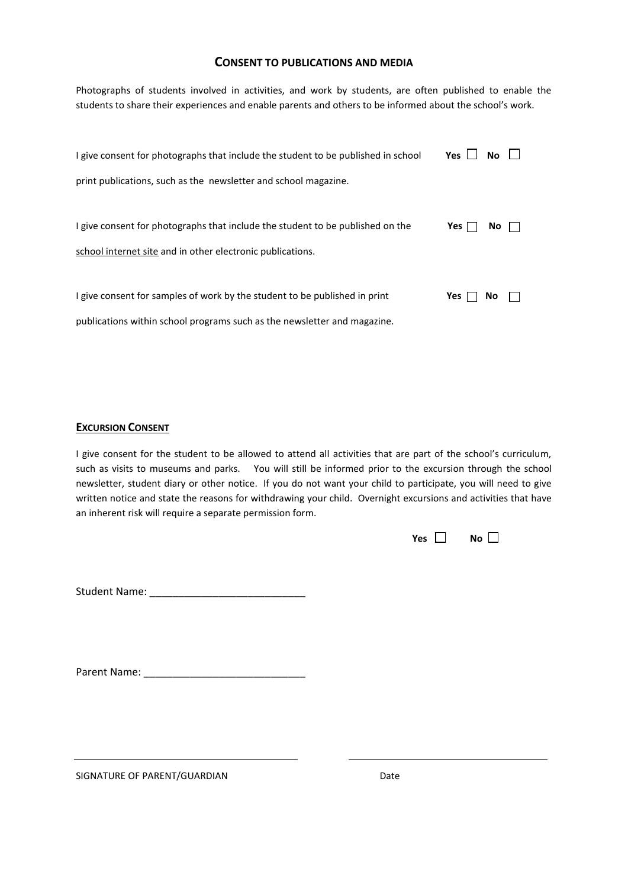### **CONSENT TO PUBLICATIONS AND MEDIA**

Photographs of students involved in activities, and work by students, are often published to enable the students to share their experiences and enable parents and others to be informed about the school's work.

| I give consent for photographs that include the student to be published in school | Yes l | No.       |  |
|-----------------------------------------------------------------------------------|-------|-----------|--|
| print publications, such as the newsletter and school magazine.                   |       |           |  |
|                                                                                   |       |           |  |
| I give consent for photographs that include the student to be published on the    | Yes l | <b>No</b> |  |
| school internet site and in other electronic publications.                        |       |           |  |
|                                                                                   |       |           |  |
| I give consent for samples of work by the student to be published in print        | Yes   | No.       |  |
| publications within school programs such as the newsletter and magazine.          |       |           |  |

### **EXCURSION CONSENT**

I give consent for the student to be allowed to attend all activities that are part of the school's curriculum, such as visits to museums and parks. You will still be informed prior to the excursion through the school newsletter, student diary or other notice. If you do not want your child to participate, you will need to give written notice and state the reasons for withdrawing your child. Overnight excursions and activities that have an inherent risk will require a separate permission form.

| Yes $\Box$ No $\Box$ |
|----------------------|
|                      |

Student Name: \_\_\_\_\_\_\_\_\_\_\_\_\_\_\_\_\_\_\_\_\_\_\_\_\_\_\_

Parent Name: \_\_\_\_\_\_\_\_\_\_\_\_\_\_\_\_\_\_\_\_\_\_\_\_\_\_\_\_

SIGNATURE OF PARENT/GUARDIAN DATE CONTROLLER SERVICE OF PARENT OUTLINE AND DATE